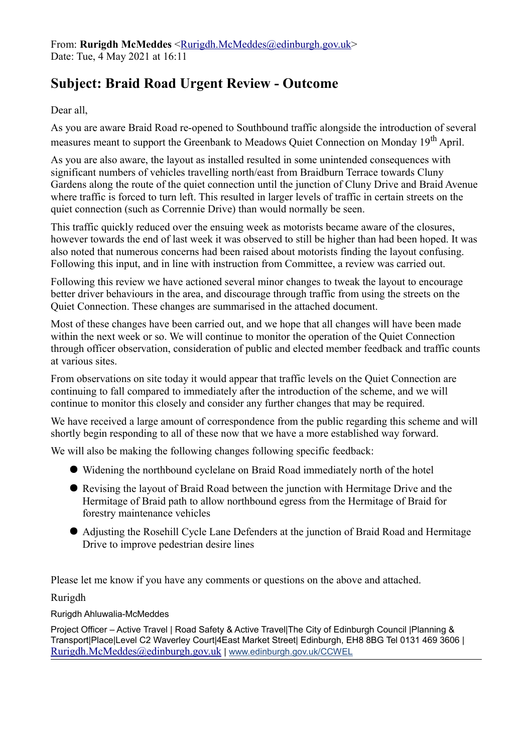## **Subject: Braid Road Urgent Review - Outcome**

Dear all,

As you are aware Braid Road re-opened to Southbound traffic alongside the introduction of several measures meant to support the Greenbank to Meadows Quiet Connection on Monday 19<sup>th</sup> April.

As you are also aware, the layout as installed resulted in some unintended consequences with significant numbers of vehicles travelling north/east from Braidburn Terrace towards Cluny Gardens along the route of the quiet connection until the junction of Cluny Drive and Braid Avenue where traffic is forced to turn left. This resulted in larger levels of traffic in certain streets on the quiet connection (such as Corrennie Drive) than would normally be seen.

This traffic quickly reduced over the ensuing week as motorists became aware of the closures, however towards the end of last week it was observed to still be higher than had been hoped. It was also noted that numerous concerns had been raised about motorists finding the layout confusing. Following this input, and in line with instruction from Committee, a review was carried out.

Following this review we have actioned several minor changes to tweak the layout to encourage better driver behaviours in the area, and discourage through traffic from using the streets on the Quiet Connection. These changes are summarised in the attached document.

Most of these changes have been carried out, and we hope that all changes will have been made within the next week or so. We will continue to monitor the operation of the Quiet Connection through officer observation, consideration of public and elected member feedback and traffic counts at various sites.

From observations on site today it would appear that traffic levels on the Quiet Connection are continuing to fall compared to immediately after the introduction of the scheme, and we will continue to monitor this closely and consider any further changes that may be required.

We have received a large amount of correspondence from the public regarding this scheme and will shortly begin responding to all of these now that we have a more established way forward.

We will also be making the following changes following specific feedback:

- Widening the northbound cyclelane on Braid Road immediately north of the hotel
- Revising the layout of Braid Road between the junction with Hermitage Drive and the Hermitage of Braid path to allow northbound egress from the Hermitage of Braid for forestry maintenance vehicles
- Adjusting the Rosehill Cycle Lane Defenders at the junction of Braid Road and Hermitage Drive to improve pedestrian desire lines

Please let me know if you have any comments or questions on the above and attached.

Rurigdh

Rurigdh Ahluwalia-McMeddes

Project Officer – Active Travel | Road Safety & Active Travel|The City of Edinburgh Council |Planning & Transport|Place|Level C2 Waverley Court|4East Market Street| Edinburgh, EH8 8BG Tel 0131 469 3606 | [Rurigdh.McMeddes@edinburgh.gov.uk](mailto:Rurigdh.McMeddes@edinburgh.gov.uk) | [www.edinburgh.gov.uk/CCWEL](http://www.edinburgh.gov.uk/CCWEL)